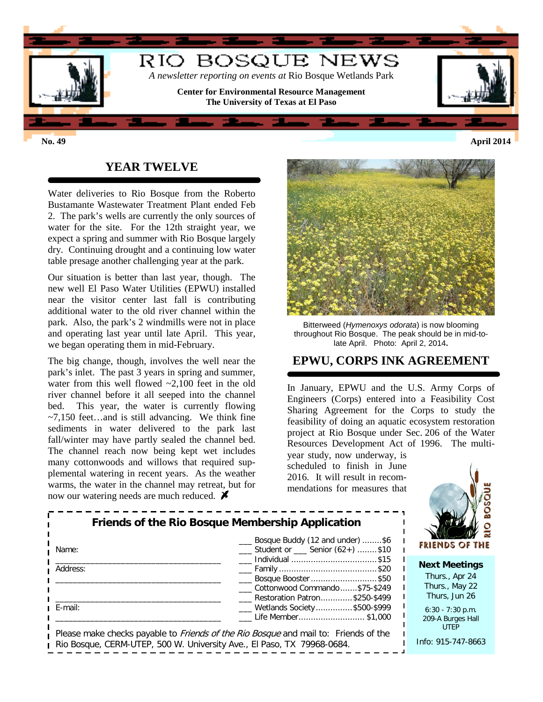

### **YEAR TWELVE**

Water deliveries to Rio Bosque from the Roberto Bustamante Wastewater Treatment Plant ended Feb 2. The park's wells are currently the only sources of water for the site. For the 12th straight year, we expect a spring and summer with Rio Bosque largely dry. Continuing drought and a continuing low water table presage another challenging year at the park.

Our situation is better than last year, though. The new well El Paso Water Utilities (EPWU) installed near the visitor center last fall is contributing additional water to the old river channel within the park. Also, the park's 2 windmills were not in place and operating last year until late April. This year, we began operating them in mid-February.

The big change, though, involves the well near the park's inlet. The past 3 years in spring and summer, water from this well flowed ~2,100 feet in the old river channel before it all seeped into the channel bed. This year, the water is currently flowing  $\sim$ 7,150 feet...and is still advancing. We think fine sediments in water delivered to the park last fall/winter may have partly sealed the channel bed. The channel reach now being kept wet includes many cottonwoods and willows that required supplemental watering in recent years. As the weather warms, the water in the channel may retreat, but for now our watering needs are much reduced.  $\blacktriangleright$ 



Bitterweed (*Hymenoxys odorata*) is now blooming throughout Rio Bosque. The peak should be in mid-tolate April. Photo: April 2, 2014**.**

# **EPWU, CORPS INK AGREEMENT**

In January, EPWU and the U.S. Army Corps of Engineers (Corps) entered into a Feasibility Cost Sharing Agreement for the Corps to study the feasibility of doing an aquatic ecosystem restoration project at Rio Bosque under Sec. 206 of the Water Resources Development Act of 1996. The multi-

year study, now underway, is scheduled to finish in June 2016. It will result in recommendations for measures that



|          | <b>Friends of the Rio Bosque Membership Application</b>                                    |  |
|----------|--------------------------------------------------------------------------------------------|--|
| Name:    | Bosque Buddy (12 and under) \$6<br>Student or Senior (62+) \$10                            |  |
|          | ___ Individual \$15                                                                        |  |
| Address: |                                                                                            |  |
|          | Bosque Booster \$50                                                                        |  |
|          | Cottonwood Commando\$75-\$249                                                              |  |
|          | Restoration Patron\$250-\$499                                                              |  |
| E-mail:  | <u>_</u> __ Wetlands Society\$500-\$999                                                    |  |
|          | Life Member\$1,000                                                                         |  |
|          |                                                                                            |  |
|          | Please make checks navable to <i>Friends of the Rio Bosque</i> and mail to: Friends of the |  |

able to *Friends of the Rio Bosque* and mail to: Rio Bosque, CERM-UTEP, 500 W. University Ave., El Paso, TX 79968-0684.



Thurs., May 22 Thurs, Jun 26

6:30 - 7:30 p.m. 209-A Burges Hall UTEP

Info: 915-747-8663